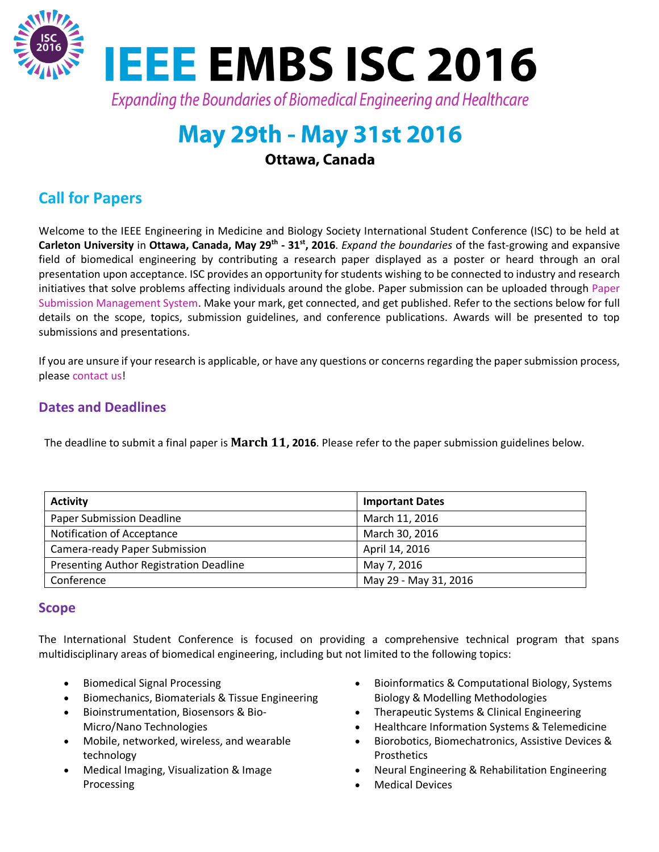

# **May 29th - May 31st 2016**

Ottawa, Canada

# **Call for Papers**

Welcome to the IEEE Engineering in Medicine and Biology Society International Student Conference (ISC) to be held at Carleton University in Ottawa, Canada, May 29<sup>th</sup> - 31<sup>st</sup>, 2016. *Expand the boundaries* of the fast-growing and expansive field of biomedical engineering by contributing a research paper displayed as a poster or heard through an oral presentation upon acceptance. ISC provides an opportunity for students wishing to be connected to industry and research initiatives that solve problems affecting individuals around the globe. Paper submission can be uploaded through [Paper](https://easychair.org/conferences/?conf=ieeeembsisc2016)  [Submission Management System.](https://easychair.org/conferences/?conf=ieeeembsisc2016) Make your mark, get connected, and get published. Refer to the sections below for full details on the scope, topics, submission guidelines, and conference publications. Awards will be presented to top submissions and presentations.

If you are unsure if your research is applicable, or have any questions or concerns regarding the paper submission process, pleas[e contact us!](http://sites.ieee.org/embs-isc-2016/contact/)

## **Dates and Deadlines**

The deadline to submit a final paper is **March 11, 2016**. Please refer to the paper submission guidelines below.

| <b>Activity</b>                         | <b>Important Dates</b> |  |
|-----------------------------------------|------------------------|--|
| <b>Paper Submission Deadline</b>        | March 11, 2016         |  |
| Notification of Acceptance              | March 30, 2016         |  |
| Camera-ready Paper Submission           | April 14, 2016         |  |
| Presenting Author Registration Deadline | May 7, 2016            |  |
| Conference                              | May 29 - May 31, 2016  |  |

#### **Scope**

The International Student Conference is focused on providing a comprehensive technical program that spans multidisciplinary areas of biomedical engineering, including but not limited to the following topics:

- Biomedical Signal Processing
- **•** Biomechanics, Biomaterials & Tissue Engineering
- Bioinstrumentation, Biosensors & Bio-Micro/Nano Technologies
- Mobile, networked, wireless, and wearable technology
- Medical Imaging, Visualization & Image Processing
- Bioinformatics & Computational Biology, Systems Biology & Modelling Methodologies
- Therapeutic Systems & Clinical Engineering
- Healthcare Information Systems & Telemedicine
- Biorobotics, Biomechatronics, Assistive Devices & Prosthetics
- Neural Engineering & Rehabilitation Engineering
- Medical Devices